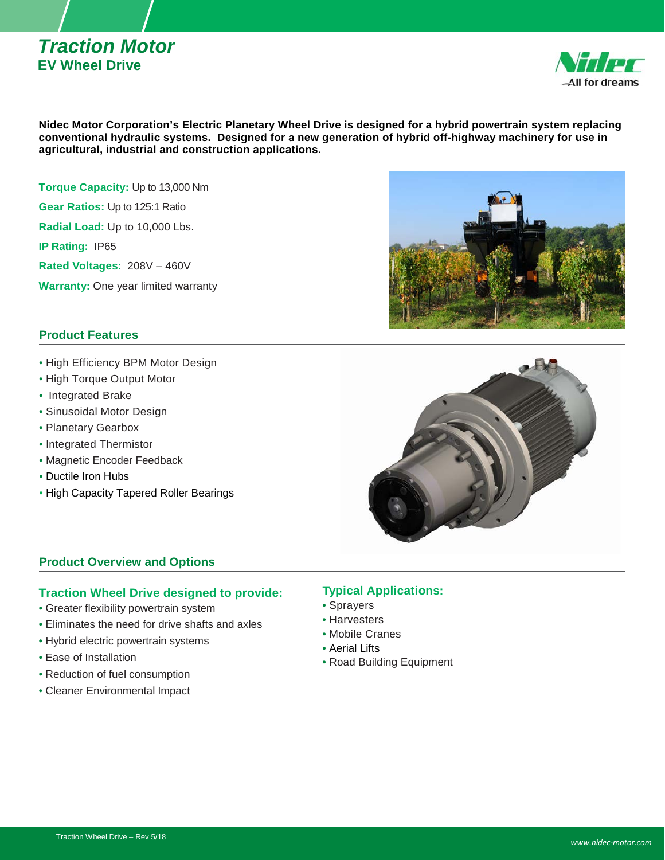# *Traction Motor* **EV Wheel Drive**



**Nidec Motor Corporation's Electric Planetary Wheel Drive is designed for a hybrid powertrain system replacing conventional hydraulic systems. Designed for a new generation of hybrid off-highway machinery for use in agricultural, industrial and construction applications.** 

**Torque Capacity:** Up to 13,000 Nm **Gear Ratios:** Up to 125:1 Ratio **Radial Load:** Up to 10,000 Lbs. **IP Rating:** IP65 **Rated Voltages:** 208V – 460V **Warranty:** One year limited warranty

### **Product Features**

- High Efficiency BPM Motor Design
- High Torque Output Motor
- Integrated Brake
- Sinusoidal Motor Design
- Planetary Gearbox
- Integrated Thermistor
- Magnetic Encoder Feedback
- Ductile Iron Hubs
- High Capacity Tapered Roller Bearings





## **Product Overview and Options**

#### **Traction Wheel Drive designed to provide:**

- Greater flexibility powertrain system
- Eliminates the need for drive shafts and axles
- Hybrid electric powertrain systems
- Ease of Installation
- Reduction of fuel consumption
- Cleaner Environmental Impact

# **Typical Applications:**

- Sprayers
- Harvesters
- Mobile Cranes
- Aerial Lifts
- Road Building Equipment